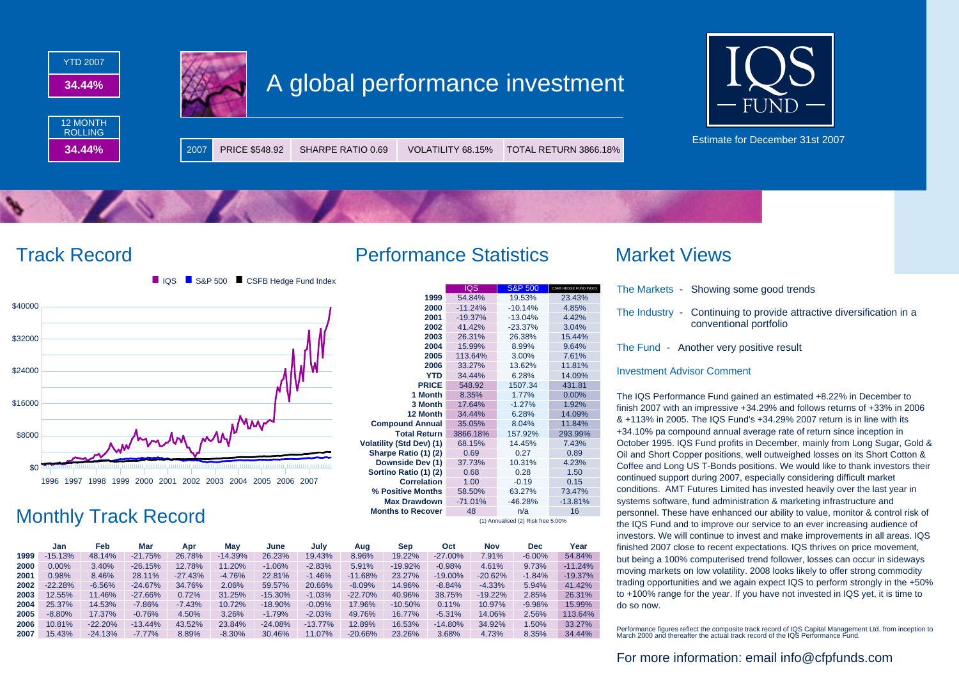



Estimate for December 31st 2007





# Monthly Track Record

|      | Jan       | Feb       | Mar       | Apr       | May       | June       | July       | Aug       | Sep        | Oct        | Nov       | Dec      | Year      |
|------|-----------|-----------|-----------|-----------|-----------|------------|------------|-----------|------------|------------|-----------|----------|-----------|
| 1999 | $-15.13%$ | 48.14%    | $-21.75%$ | 26.78%    | $-14.39%$ | 26.23%     | 19.43%     | 8.96%     | 19.22%     | $-27.00\%$ | 7.91%     | $-6.00%$ | 54.84%    |
| 2000 | $0.00\%$  | 3.40%     | $-26.15%$ | 12.78%    | 11.20%    | $-1.06%$   | $-2.83%$   | 5.91%     | $-19.92%$  | $-0.98%$   | 4.61%     | 9.73%    | $-11.24%$ |
| 2001 | 0.98%     | 8.46%     | 28.11%    | $-27.43%$ | $-4.76%$  | 22.81%     | $-1.46%$   | $-11.68%$ | 23.27%     | $-19.00\%$ | $-20.62%$ | $-1.84%$ | $-19.37%$ |
| 2002 | $-22.28%$ | $-6.56%$  | $-24.67%$ | 34.76%    | 2.06%     | 59.57%     | 20.66%     | $-8.09%$  | 14.96%     | $-8.84%$   | $-4.33%$  | 5.94%    | 41.42%    |
| 2003 | 12.55%    | 11.46%    | $-27.66%$ | 0.72%     | 31.25%    | $-15.30\%$ | $-1.03%$   | $-22.70%$ | 40.96%     | 38.75%     | $-19.22%$ | 2.85%    | 26.31%    |
| 2004 | 25.37%    | 14.53%    | $-7.86%$  | $-7.43%$  | 10.72%    | $-18.90%$  | $-0.09%$   | 17.96%    | $-10.50\%$ | 0.11%      | 10.97%    | $-9.98%$ | 15.99%    |
| 2005 | $-8.80%$  | 17.37%    | $-0.76%$  | 4.50%     | 3.26%     | $-1.79%$   | $-2.03%$   | 49.76%    | 16.77%     | $-5.31%$   | 14.06%    | 2.56%    | 113.64%   |
| 2006 | 10.81%    | $-22.20%$ | $-13.44%$ | 43.52%    | 23.84%    | $-24.08%$  | $-13.77\%$ | 12.89%    | 16.53%     | $-14.80%$  | 34.92%    | 1.50%    | 33.27%    |
| 2007 | 15.43%    | $-24.13%$ | $-7.77%$  | 8.89%     | $-8.30%$  | 30.46%     | 11.07%     | $-20.66%$ | 23.26%     | 3.68%      | 4.73%     | 8.35%    | 34.44%    |

## Track Record Performance Statistics Market Views

|                                    | <b>IQS</b> | <b>S&amp;P 500</b> | CSFB HEDGE FUND INDEX |  |  |  |
|------------------------------------|------------|--------------------|-----------------------|--|--|--|
| 1999                               | 54.84%     | 19.53%             | 23.43%                |  |  |  |
| 2000                               | $-11.24%$  | $-10.14%$          | 4.85%                 |  |  |  |
| 2001                               | $-19.37%$  | $-13.04%$          | 4.42%                 |  |  |  |
| 2002                               | 41.42%     | $-23.37%$          | 3.04%                 |  |  |  |
| 2003                               | 26.31%     | 26.38%             | 15.44%                |  |  |  |
| 2004                               | 15.99%     | 8.99%              | 9.64%                 |  |  |  |
| 2005                               | 113.64%    | 3.00%              | 7.61%                 |  |  |  |
| 2006                               | 33.27%     | 13.62%             | 11.81%                |  |  |  |
| <b>YTD</b>                         | 34.44%     | 6.28%              | 14.09%                |  |  |  |
| <b>PRICE</b>                       | 548.92     | 1507.34            | 431.81                |  |  |  |
| 1 Month                            | 8.35%      | 1.77%              | 0.00%                 |  |  |  |
| 3 Month                            | 17.64%     | $-1.27%$           | 1.92%                 |  |  |  |
| 12 Month                           | 34.44%     | 6.28%              | 14.09%                |  |  |  |
| <b>Compound Annual</b>             | 35.05%     | 8.04%              | 11.84%                |  |  |  |
| <b>Total Return</b>                | 3866.18%   | 157.92%            | 293.99%               |  |  |  |
| <b>Volatility (Std Dev) (1)</b>    | 68.15%     | 14.45%             | 7.43%                 |  |  |  |
| Sharpe Ratio (1) (2)               | 0.69       | 0.27               | 0.89                  |  |  |  |
| Downside Dev (1)                   | 37.73%     | 10.31%             | 4.23%                 |  |  |  |
| Sortino Ratio (1) (2)              | 0.68       | 0.28               | 1.50                  |  |  |  |
| <b>Correlation</b>                 | 1.00       | $-0.19$            | 0.15                  |  |  |  |
| % Positive Months                  | 58.50%     | 63.27%             | 73.47%                |  |  |  |
| <b>Max Drawdown</b>                | $-71.01%$  | $-46.28%$          | $-13.81%$             |  |  |  |
| <b>Months to Recover</b>           | 48         | n/a                | 16                    |  |  |  |
| (1) Annualised (2) Risk free 5.00% |            |                    |                       |  |  |  |

- The Markets Showing some good trends
- The Industry Continuing to provide attractive diversification in a conventional portfolio

The Fund - Another very positive result

### Investment Advisor Comment

The IQS Performance Fund gained an estimated +8.22% in December to finish 2007 with an impressive +34.29% and follows returns of +33% in 2006 & +113% in 2005. The IQS Fund's +34.29% 2007 return is in line with its +34.10% pa compound annual average rate of return since inception in October 1995. IQS Fund profits in December, mainly from Long Sugar, Gold & Oil and Short Copper positions, well outweighed losses on its Short Cotton & Coffee and Long US T-Bonds positions. We would like to thank investors their continued support during 2007, especially considering difficult market conditions. AMT Futures Limited has invested heavily over the last year in systems software, fund administration & marketing infrastructure and personnel. These have enhanced our ability to value, monitor & control risk of the IQS Fund and to improve our service to an ever increasing audience of investors. We will continue to invest and make improvements in all areas. IQS finished 2007 close to recent expectations. IQS thrives on price movement, but being a 100% computerised trend follower, losses can occur in sideways moving markets on low volatility. 2008 looks likely to offer strong commodity trading opportunities and we again expect IQS to perform strongly in the +50% to +100% range for the year. If you have not invested in IQS yet, it is time to do so now.

Performance figures reflect the composite track record of IQS Capital Management Ltd. from inception to March 2000 and thereafter the actual track record of the IQS Performance Fund.